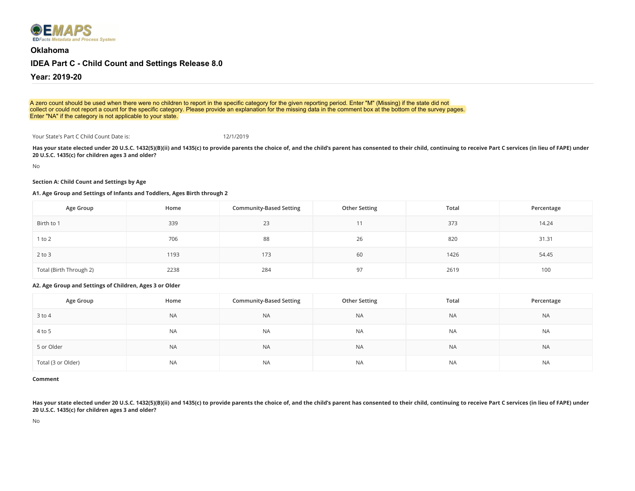

**[Oklahoma](https://emaps.ed.gov/suite/sites/idea-part-c-child-count-and-settings/page/survey/record/lIBE2k6sJ2KOTgak0cK-SGavi5Vk7cR6LZ2GQQPw3YKviLkwq5-eIYHC8XdQQAS0SLgiwEzoJKJ_cUPphDwI4-2PSdjkLFO2hj1Ag87YBiXefsY/view/summary)**

# **[IDEA Part C](https://emaps.ed.gov/suite/sites/idea-part-c-child-count-and-settings/page/survey/record/lIBE2k6sJ2KOTgak0cK-SGavi5Vk7cR6LZ2GQQPw3YKviLkwq5-eIYHC8XdQQAS0SLgiwEzoJKJ_cUPphDwI4-2PSdjkLFO2hj1Ag87YBiXefsY/view/_cXfYyw) [- Child Count](https://emaps.ed.gov/suite/sites/idea-part-c-child-count-and-settings/page/survey/record/lIBE2k6sJ2KOTgak0cK-SGavi5Vk7cR6LZ2GQQPw3YKviLkwq5-eIYHC8XdQQAS0SLgiwEzoJKJ_cUPphDwI4-2PSdjkLFO2hj1Ag87YBiXefsY/view/actions) [and Set](https://emaps.ed.gov/suite/sites/idea-part-c-child-count-and-settings/page/survey/record/lIBE2k6sJ2KOTgak0cK-SGavi5Vk7cR6LZ2GQQPw3YKviLkwq5-eIYHC8XdQQAS0SLgiwEzoJKJ_cUPphDwI4-2PSdjkLFO2hj1Ag87YBiXefsY/view/_XMMkFw)[tings Release 8.0](https://emaps.ed.gov/suite/sites/idea-part-c-child-count-and-settings/page/survey/record/lIBE2k6sJ2KOTgak0cK-SGavi5Vk7cR6LZ2GQQPw3YKviLkwq5-eIYHC8XdQQAS0SLgiwEzoJKJ_cUPphDwI4-2PSdjkLFO2hj1Ag87YBiXefsY/view/_65YFIg)**

**Year: 2019-20**

A zero count should be used when there were no children to report in the specific category for the given reporting period. Enter "M" (Missing) if the state did not collect or could not report a count for the specific category. Please provide an explanation for the missing data in the comment box at the bottom of the survey pages. Enter "NA" if the category is not applicable to your state.

Your State's Part C Child Count Date is: 12/1/2019

**Has your state elected under 20 U.S.C. 1432(5)(B)(ii) and 1435(c) to provide parents the choice of, and the child's parent has consented to their child, continuing to receive Part C services (in lieu of FAPE) under 20 U.S.C. 1435(c) for children ages 3 and older?**

No

#### **Section A: Child Count and Settings by Age**

## **A1. Age Group and Settings of Infants and Toddlers, Ages Birth through 2**

| Age Group               | Home | <b>Community-Based Setting</b> | <b>Other Setting</b> | Total | Percentage |
|-------------------------|------|--------------------------------|----------------------|-------|------------|
| Birth to 1              | 339  | 23                             |                      | 373   | 14.24      |
| $1$ to $2$              | 706  | 88                             | 26                   | 820   | 31.31      |
| $2$ to $3$              | 1193 | 173                            | 60                   | 1426  | 54.45      |
| Total (Birth Through 2) | 2238 | 284                            | 97                   | 2619  | 100        |

**A2. Age Group and Settings of Children, Ages 3 or Older**

| Age Group          | Home      | <b>Community-Based Setting</b> | <b>Other Setting</b> | Total     | Percentage |
|--------------------|-----------|--------------------------------|----------------------|-----------|------------|
| 3 to 4             | <b>NA</b> | <b>NA</b>                      | <b>NA</b>            | <b>NA</b> | <b>NA</b>  |
| 4 to 5             | <b>NA</b> | <b>NA</b>                      | <b>NA</b>            | <b>NA</b> | <b>NA</b>  |
| 5 or Older         | <b>NA</b> | <b>NA</b>                      | <b>NA</b>            | <b>NA</b> | <b>NA</b>  |
| Total (3 or Older) | <b>NA</b> | <b>NA</b>                      | <b>NA</b>            | <b>NA</b> | <b>NA</b>  |

**Comment**

Has your state elected under 20 U.S.C. 1432(5)(B)(ii) and 1435(c) to provide parents the choice of, and the child's parent has consented to their child, continuing to receive Part C services (in lieu of FAPE) under **20 U.S.C. 1435(c) for children ages 3 and older?**

No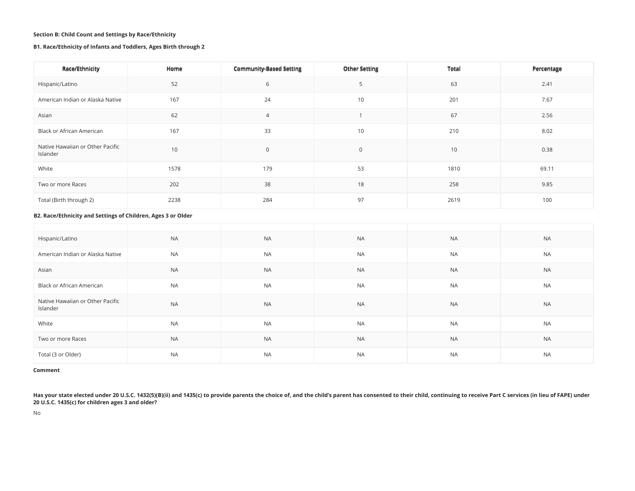## **Section B: Child Count and Settings by Race/Ethnicity**

## **B1. Race/Ethnicity of Infants and Toddlers, Ages Birth through 2**

| Race/Ethnicity                                               | Home             | <b>Community-Based Setting</b> | <b>Other Setting</b> | <b>Total</b>     | Percentage |
|--------------------------------------------------------------|------------------|--------------------------------|----------------------|------------------|------------|
| Hispanic/Latino                                              | 52               | 6                              | 5                    | 63               | 2.41       |
| American Indian or Alaska Native                             | 167              | 24                             | 10                   | 201              | 7.67       |
| Asian                                                        | 62               | $\overline{4}$                 |                      | 67               | 2.56       |
| Black or African American                                    | 167              | 33                             | 10                   | 210              | 8.02       |
| Native Hawaiian or Other Pacific<br>Islander                 | 10               | $\mathbf 0$                    | $\mathbf 0$          | 10               | 0.38       |
| White                                                        | 1578             | 179                            | 53                   | 1810             | 69.11      |
| Two or more Races                                            | 202              | 38                             | 18                   | 258              | 9.85       |
| Total (Birth through 2)                                      | 2238             | 284                            | 97                   | 2619             | 100        |
| B2. Race/Ethnicity and Settings of Children, Ages 3 or Older |                  |                                |                      |                  |            |
|                                                              |                  |                                |                      |                  |            |
| Hispanic/Latino                                              | <b>NA</b>        | <b>NA</b>                      | <b>NA</b>            | <b>NA</b>        | <b>NA</b>  |
| A second computer should be computed by the Microsoft and    | A <sub>1</sub> A | A <sub>1</sub> A               | <b>AIA</b>           | A <sub>1</sub> A | <b>AIA</b> |

| American Indian or Alaska Native             | <b>NA</b> | <b>NA</b> | <b>NA</b> | <b>NA</b> | <b>NA</b> |
|----------------------------------------------|-----------|-----------|-----------|-----------|-----------|
| Asian                                        | <b>NA</b> | <b>NA</b> | <b>NA</b> | <b>NA</b> | <b>NA</b> |
| Black or African American                    | <b>NA</b> | <b>NA</b> | <b>NA</b> | NA        | <b>NA</b> |
| Native Hawaiian or Other Pacific<br>Islander | <b>NA</b> | <b>NA</b> | <b>NA</b> | <b>NA</b> | <b>NA</b> |
| White                                        | <b>NA</b> | <b>NA</b> | <b>NA</b> | <b>NA</b> | <b>NA</b> |
| Two or more Races                            | <b>NA</b> | <b>NA</b> | <b>NA</b> | <b>NA</b> | <b>NA</b> |
| Total (3 or Older)                           | <b>NA</b> | <b>NA</b> | NA        | NA        | <b>NA</b> |

#### **Comment**

**Has your state elected under 20 U.S.C. 1432(5)(B)(ii) and 1435(c) to provide parents the choice of, and the child's parent has consented to their child, continuing to receive Part C services (in lieu of FAPE) under 20 U.S.C. 1435(c) for children ages 3 and older?**

No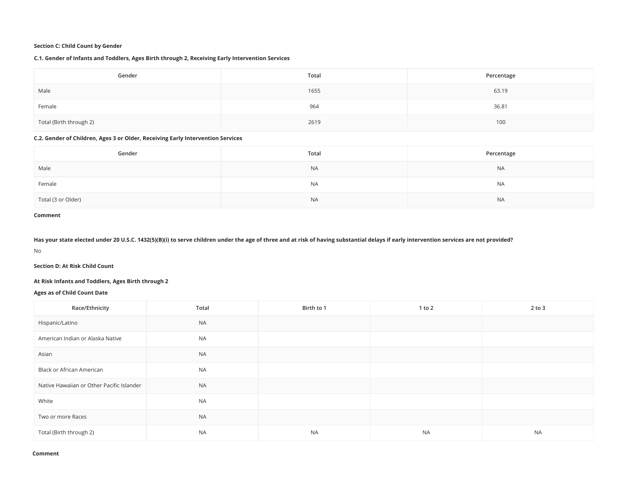## **Section C: Child Count by Gender**

## **C.1. Gender of Infants and Toddlers, Ages Birth through 2, Receiving Early Intervention Services**

| Gender                  | Total | Percentage |
|-------------------------|-------|------------|
| Male                    | 1655  | 63.19      |
| Female                  | 964   | 36.81      |
| Total (Birth through 2) | 2619  | 100        |

## **C.2. Gender of Children, Ages 3 or Older, Receiving Early Intervention Services**

| Gender             | Total     | Percentage |
|--------------------|-----------|------------|
| Male               | <b>NA</b> | <b>NA</b>  |
| Female             | <b>NA</b> | <b>NA</b>  |
| Total (3 or Older) | <b>NA</b> | <b>NA</b>  |

#### **Comment**

#### **Has your state elected under 20 U.S.C. 1432(5)(B)(i) to serve children under the age of three and at risk of having substantial delays if early intervention services are not provided?**

No

**Section D: At Risk Child Count**

## **At Risk Infants and Toddlers, Ages Birth through 2**

## **Ages as of Child Count Date**

| Race/Ethnicity                            | Total     | Birth to 1 | 1 to 2    | $2$ to $3$ |
|-------------------------------------------|-----------|------------|-----------|------------|
| Hispanic/Latino                           | <b>NA</b> |            |           |            |
| American Indian or Alaska Native          | <b>NA</b> |            |           |            |
| Asian                                     | <b>NA</b> |            |           |            |
| Black or African American                 | <b>NA</b> |            |           |            |
| Native Hawaiian or Other Pacific Islander | <b>NA</b> |            |           |            |
| White                                     | <b>NA</b> |            |           |            |
| Two or more Races                         | <b>NA</b> |            |           |            |
| Total (Birth through 2)                   | <b>NA</b> | <b>NA</b>  | <b>NA</b> | <b>NA</b>  |